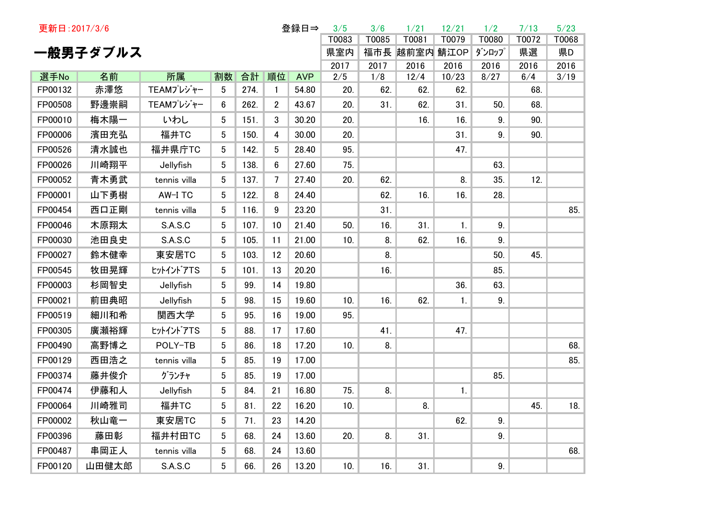| 更新日: 2017/3/6 |          |              |                 |      |                | 登録日⇒       | 3/5         | 3/6         | 1/21          | 12/21         | 1/2          | 7/13        | 5/23         |
|---------------|----------|--------------|-----------------|------|----------------|------------|-------------|-------------|---------------|---------------|--------------|-------------|--------------|
|               |          |              |                 |      |                |            | T0083       | T0085       | T0081         | T0079         | T0080        | T0072       | T0068        |
|               | 一般男子ダブルス |              |                 |      |                |            | 県室内         |             | 福市長 越前室内 鯖江OP |               | ダンロップ        | 県選          | 県D           |
| 選手No          | 名前       | 所属           | 割数              | 合計   | 順位             | <b>AVP</b> | 2017<br>2/5 | 2017<br>1/8 | 2016<br>12/4  | 2016<br>10/23 | 2016<br>8/27 | 2016<br>6/4 | 2016<br>3/19 |
| FP00132       | 赤澤悠      | TEAMプレジャー    | 5               | 274. | $\mathbf{1}$   | 54.80      | 20.         | 62.         | 62.           | 62.           |              | 68.         |              |
| FP00508       | 野邊崇嗣     | TEAMプレジャー    | 6               | 262. | $\overline{2}$ | 43.67      | 20.         | 31.         | 62.           | 31.           | 50.          | 68.         |              |
| FP00010       | 梅木陽一     | いわし          | $5^{\circ}$     | 151. | 3              | 30.20      | 20.         |             | 16.           | 16.           | 9.           | 90.         |              |
| FP00006       | 濱田充弘     | 福井TC         | $5^{\circ}$     | 150. | 4              | 30.00      | 20.         |             |               | 31.           | 9.           | 90.         |              |
| FP00526       | 清水誠也     | 福井県庁TC       | $5\phantom{.0}$ | 142. | 5              | 28.40      | 95.         |             |               | 47.           |              |             |              |
| FP00026       | 川崎翔平     | Jellyfish    | $5\phantom{.0}$ | 138. | 6              | 27.60      | 75.         |             |               |               | 63.          |             |              |
| FP00052       | 青木勇武     | tennis villa | 5               | 137. | 7              | 27.40      | 20.         | 62.         |               | 8.            | 35.          | 12.         |              |
| FP00001       | 山下勇樹     | AW-I TC      | $5^{\circ}$     | 122. | 8              | 24.40      |             | 62.         | 16.           | 16.           | 28.          |             |              |
| FP00454       | 西口正剛     | tennis villa | $5^{\circ}$     | 116. | 9              | 23.20      |             | 31.         |               |               |              |             | 85.          |
| FP00046       | 木原翔太     | S.A.S.C      | $5^{\circ}$     | 107. | 10             | 21.40      | 50.         | 16.         | 31.           | 1.            | 9.           |             |              |
| FP00030       | 池田良史     | S.A.S.C      | $5^{\circ}$     | 105. | 11             | 21.00      | 10.         | 8.          | 62.           | 16.           | 9.           |             |              |
| FP00027       | 鈴木健幸     | 東安居TC        | 5               | 103. | 12             | 20.60      |             | 8.          |               |               | 50.          | 45.         |              |
| FP00545       | 牧田晃輝     | ヒットイントアTS    | 5               | 101. | 13             | 20.20      |             | 16.         |               |               | 85.          |             |              |
| FP00003       | 杉岡智史     | Jellyfish    | 5               | 99.  | 14             | 19.80      |             |             |               | 36.           | 63.          |             |              |
| FP00021       | 前田典昭     | Jellyfish    | 5               | 98.  | 15             | 19.60      | 10.         | 16.         | 62.           | 1.            | 9.           |             |              |
| FP00519       | 細川和希     | 関西大学         | $5^{\circ}$     | 95.  | 16             | 19.00      | 95.         |             |               |               |              |             |              |
| FP00305       | 廣瀬裕輝     | ヒットイントアTS    | $5^{\circ}$     | 88.  | 17             | 17.60      |             | 41.         |               | 47.           |              |             |              |
| FP00490       | 高野博之     | POLY-TB      | 5               | 86.  | 18             | 17.20      | 10.         | 8.          |               |               |              |             | 68.          |
| FP00129       | 西田浩之     | tennis villa | 5               | 85.  | 19             | 17.00      |             |             |               |               |              |             | 85.          |
| FP00374       | 藤井俊介     | グランチャ        | $5^{\circ}$     | 85.  | 19             | 17.00      |             |             |               |               | 85.          |             |              |
| FP00474       | 伊藤和人     | Jellyfish    | $5^{\circ}$     | 84.  | 21             | 16.80      | 75.         | 8.          |               | 1.            |              |             |              |
| FP00064       | 川崎雅司     | 福井TC         | 5 <sub>5</sub>  | 81.  | 22             | 16.20      | 10.         |             | 8.            |               |              | 45.         | 18.          |
| FP00002       | 秋山竜一     | 東安居TC        | $5\phantom{.0}$ | 71.  | 23             | 14.20      |             |             |               | 62.           | 9.           |             |              |
| FP00396       | 藤田彰      | 福井村田TC       | 5               | 68.  | 24             | 13.60      | 20.         | 8.          | 31.           |               | 9.           |             |              |
| FP00487       | 串岡正人     | tennis villa | 5               | 68.  | 24             | 13.60      |             |             |               |               |              |             | 68.          |
| FP00120       | 山田健太郎    | S.A.S.C      | 5               | 66.  | 26             | 13.20      | 10.         | 16.         | 31.           |               | 9.           |             |              |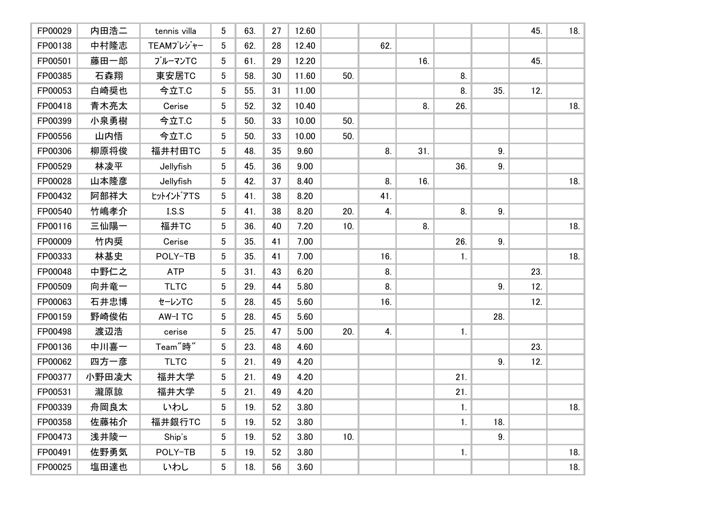| FP00029 | 内田浩二  | tennis villa         | $5^{\circ}$     | 63. | 27 | 12.60 |     |     |     |     |     | 45. | 18. |
|---------|-------|----------------------|-----------------|-----|----|-------|-----|-----|-----|-----|-----|-----|-----|
| FP00138 | 中村隆志  | TEAMプレジャー            | 5               | 62. | 28 | 12.40 |     | 62. |     |     |     |     |     |
| FP00501 | 藤田一郎  | ブルーマンTC              | 5               | 61. | 29 | 12.20 |     |     | 16. |     |     | 45. |     |
| FP00385 | 石森翔   | 東安居TC                | 5               | 58. | 30 | 11.60 | 50. |     |     | 8.  |     |     |     |
| FP00053 | 白崎奨也  | 今立T.C                | $5\overline{)}$ | 55. | 31 | 11.00 |     |     |     | 8.  | 35. | 12. |     |
| FP00418 | 青木亮太  | Cerise               | 5               | 52. | 32 | 10.40 |     |     | 8.  | 26. |     |     | 18. |
| FP00399 | 小泉勇樹  | 今立T.C                | 5 <sup>5</sup>  | 50. | 33 | 10.00 | 50. |     |     |     |     |     |     |
| FP00556 | 山内悟   | 今立T.C                | 5 <sup>5</sup>  | 50. | 33 | 10.00 | 50. |     |     |     |     |     |     |
| FP00306 | 柳原将俊  | 福井村田TC               | $5\overline{)}$ | 48. | 35 | 9.60  |     | 8.  | 31. |     | 9.  |     |     |
| FP00529 | 林凌平   | Jellyfish            | $5\overline{)}$ | 45. | 36 | 9.00  |     |     |     | 36. | 9.  |     |     |
| FP00028 | 山本隆彦  | Jellyfish            | $5\overline{)}$ | 42. | 37 | 8.40  |     | 8.  | 16. |     |     |     | 18. |
| FP00432 | 阿部祥大  | tットイントアTS            | $5\overline{)}$ | 41. | 38 | 8.20  |     | 41. |     |     |     |     |     |
| FP00540 | 竹嶋孝介  | I.S.S                | 5               | 41. | 38 | 8.20  | 20. | 4.  |     | 8.  | 9.  |     |     |
| FP00116 | 三仙陽一  | 福井TC                 | 5               | 36. | 40 | 7.20  | 10. |     | 8.  |     |     |     | 18. |
| FP00009 | 竹内奨   | Cerise               | 5               | 35. | 41 | 7.00  |     |     |     | 26. | 9.  |     |     |
| FP00333 | 林基史   | POLY-TB              | 5               | 35. | 41 | 7.00  |     | 16. |     | 1.  |     |     | 18. |
| FP00048 | 中野仁之  | <b>ATP</b>           | 5               | 31. | 43 | 6.20  |     | 8.  |     |     |     | 23. |     |
| FP00509 | 向井竜一  | <b>TLTC</b>          | 5               | 29. | 44 | 5.80  |     | 8.  |     |     | 9.  | 12. |     |
| FP00063 | 石井忠博  | セーレンTC               | 5               | 28. | 45 | 5.60  |     | 16. |     |     |     | 12. |     |
| FP00159 | 野崎俊佑  | AW-I TC              | 5               | 28. | 45 | 5.60  |     |     |     |     | 28. |     |     |
| FP00498 | 渡辺浩   | cerise               | 5               | 25. | 47 | 5.00  | 20. | 4.  |     | 1.  |     |     |     |
| FP00136 | 中川喜一  | Team <sup>"</sup> 時" | 5               | 23. | 48 | 4.60  |     |     |     |     |     | 23. |     |
| FP00062 | 四方一彦  | <b>TLTC</b>          | 5               | 21. | 49 | 4.20  |     |     |     |     | 9.  | 12. |     |
| FP00377 | 小野田凌大 | 福井大学                 | 5               | 21. | 49 | 4.20  |     |     |     | 21. |     |     |     |
| FP00531 | 瀧原諒   | 福井大学                 | 5               | 21. | 49 | 4.20  |     |     |     | 21. |     |     |     |
| FP00339 | 舟岡良太  | いわし                  | 5 <sup>5</sup>  | 19. | 52 | 3.80  |     |     |     | 1.  |     |     | 18. |
| FP00358 | 佐藤祐介  | 福井銀行TC               | 5 <sup>5</sup>  | 19. | 52 | 3.80  |     |     |     | 1.  | 18. |     |     |
| FP00473 | 浅井陵一  | Ship's               | $5\overline{)}$ | 19. | 52 | 3.80  | 10. |     |     |     | 9.  |     |     |
| FP00491 | 佐野勇気  | POLY-TB              | $5\overline{)}$ | 19. | 52 | 3.80  |     |     |     | 1.  |     |     | 18. |
| FP00025 | 塩田達也  | いわし                  | 5 <sup>5</sup>  | 18. | 56 | 3.60  |     |     |     |     |     |     | 18. |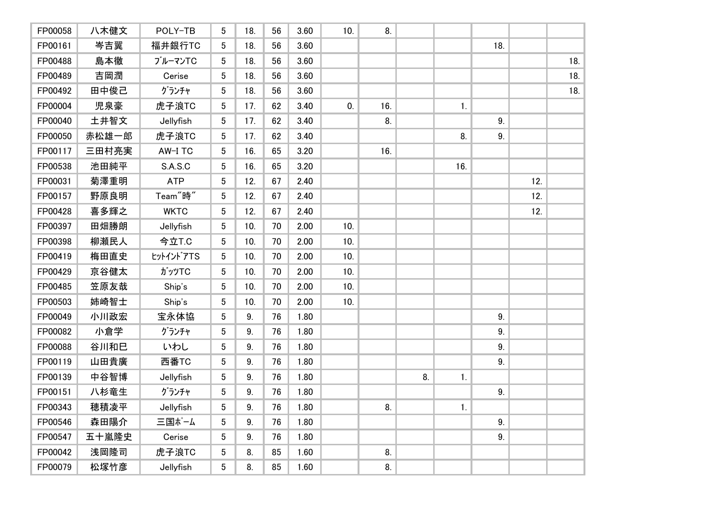| FP00058 | 八木健文  | POLY-TB              | 5               | 18. | 56 | 3.60 | 10. | 8.  |    |     |     |     |     |
|---------|-------|----------------------|-----------------|-----|----|------|-----|-----|----|-----|-----|-----|-----|
| FP00161 | 岑吉翼   | 福井銀行TC               | 5               | 18. | 56 | 3.60 |     |     |    |     | 18. |     |     |
| FP00488 | 島本徹   | ブルーマンTC              | 5               | 18. | 56 | 3.60 |     |     |    |     |     |     | 18. |
| FP00489 | 吉岡潤   | Cerise               | 5               | 18. | 56 | 3.60 |     |     |    |     |     |     | 18. |
| FP00492 | 田中俊己  | グランチャ                | 5               | 18. | 56 | 3.60 |     |     |    |     |     |     | 18. |
| FP00004 | 児泉豪   | 虎子浪TC                | 5               | 17. | 62 | 3.40 | 0.  | 16. |    | 1.  |     |     |     |
| FP00040 | 土井智文  | Jellyfish            | 5               | 17. | 62 | 3.40 |     | 8.  |    |     | 9.  |     |     |
| FP00050 | 赤松雄一郎 | 虎子浪TC                | 5 <sup>5</sup>  | 17. | 62 | 3.40 |     |     |    | 8.  | 9.  |     |     |
| FP00117 | 三田村亮実 | AW-I TC              | 5               | 16. | 65 | 3.20 |     | 16. |    |     |     |     |     |
| FP00538 | 池田純平  | S.A.S.C              | 5               | 16. | 65 | 3.20 |     |     |    | 16. |     |     |     |
| FP00031 | 菊澤重明  | <b>ATP</b>           | 5               | 12. | 67 | 2.40 |     |     |    |     |     | 12. |     |
| FP00157 | 野原良明  | Team <sup>"</sup> 時" | 5               | 12. | 67 | 2.40 |     |     |    |     |     | 12. |     |
| FP00428 | 喜多輝之  | <b>WKTC</b>          | 5 <sup>5</sup>  | 12. | 67 | 2.40 |     |     |    |     |     | 12. |     |
| FP00397 | 田畑勝朗  | Jellyfish            | 5               | 10. | 70 | 2.00 | 10. |     |    |     |     |     |     |
| FP00398 | 柳瀬民人  | 今立T.C                | 5               | 10. | 70 | 2.00 | 10. |     |    |     |     |     |     |
| FP00419 | 梅田直史  | tットイントアTS            | 5 <sup>5</sup>  | 10. | 70 | 2.00 | 10. |     |    |     |     |     |     |
| FP00429 | 京谷健太  | ガッツTC                | $5\overline{)}$ | 10. | 70 | 2.00 | 10. |     |    |     |     |     |     |
| FP00485 | 笠原友哉  | Ship's               | 5               | 10. | 70 | 2.00 | 10. |     |    |     |     |     |     |
| FP00503 | 姉崎智士  | Ship's               | 5               | 10. | 70 | 2.00 | 10. |     |    |     |     |     |     |
| FP00049 | 小川政宏  | 宝永体協                 | 5 <sup>5</sup>  | 9.  | 76 | 1.80 |     |     |    |     | 9.  |     |     |
| FP00082 | 小倉学   | グランチャ                | $5\overline{)}$ | 9.  | 76 | 1.80 |     |     |    |     | 9.  |     |     |
| FP00088 | 谷川和巳  | いわし                  | $5\overline{)}$ | 9.  | 76 | 1.80 |     |     |    |     | 9.  |     |     |
| FP00119 | 山田貴廣  | 西番TC                 | 5               | 9.  | 76 | 1.80 |     |     |    |     | 9.  |     |     |
| FP00139 | 中谷智博  | Jellyfish            | $5\overline{)}$ | 9.  | 76 | 1.80 |     |     | 8. | 1.  |     |     |     |
| FP00151 | 八杉竜生  | グランチャ                | 5 <sup>5</sup>  | 9.  | 76 | 1.80 |     |     |    |     | 9.  |     |     |
| FP00343 | 穂積凌平  | Jellyfish            | 5 <sub>5</sub>  | 9.  | 76 | 1.80 |     | 8.  |    | 1.  |     |     |     |
| FP00546 | 森田陽介  | 三国ポーム                | 5               | 9.  | 76 | 1.80 |     |     |    |     | 9.  |     |     |
| FP00547 | 五十嵐隆史 | Cerise               | 5               | 9.  | 76 | 1.80 |     |     |    |     | 9.  |     |     |
| FP00042 | 浅岡隆司  | 虎子浪TC                | 5               | 8.  | 85 | 1.60 |     | 8.  |    |     |     |     |     |
| FP00079 | 松塚竹彦  | Jellyfish            | 5               | 8.  | 85 | 1.60 |     | 8.  |    |     |     |     |     |